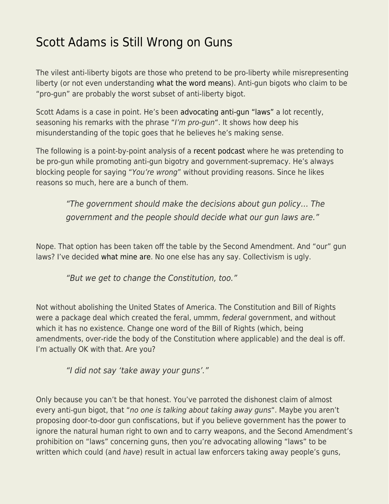## [Scott Adams is Still Wrong on Guns](https://everything-voluntary.com/scott-adams-is-still-wrong-on-guns)

The vilest anti-liberty bigots are those who pretend to be pro-liberty while misrepresenting liberty (or not even understanding [what the word means\)](http://kentmcmanigal.blogspot.com/2009/09/liberty-definition.html). Anti-gun bigots who claim to be "pro-gun" are probably the worst subset of anti-liberty bigot.

Scott Adams is a case in point. He's been [advocating anti-gun "laws"](https://blog.kentforliberty.com/2019/08/understand-what-you-ridicule.html) a lot recently, seasoning his remarks with the phrase "I'm pro-gun". It shows how deep his misunderstanding of the topic goes that he believes he's making sense.

The following is a point-by-point analysis of a [recent podcast](https://www.scottadamssays.com/2019/08/21/episode-635-scott-adams-systems-versus-goals-dual-loyalty-tropes/) where he was pretending to be pro-gun while promoting anti-gun bigotry and government-supremacy. He's always blocking people for saying "You're wrong" without providing reasons. Since he likes reasons so much, here are a bunch of them.

"The government should make the decisions about gun policy… The government and the people should decide what our gun laws are."

Nope. That option has been taken off the table by the Second Amendment. And "our" gun laws? I've decided [what mine are](http://donath.org/Rants/TheFourRules/). No one else has any say. Collectivism is ugly.

"But we get to change the Constitution, too."

Not without abolishing the United States of America. The Constitution and Bill of Rights were a package deal which created the feral, ummm, federal government, and without which it has no existence. Change one word of the Bill of Rights (which, being amendments, over-ride the body of the Constitution where applicable) and the deal is off. I'm actually OK with that. Are you?

"I did not say 'take away your guns'."

Only because you can't be that honest. You've parroted the dishonest claim of almost every anti-gun bigot, that "no one is talking about taking away guns". Maybe you aren't proposing door-to-door gun confiscations, but if you believe government has the power to ignore the natural human right to own and to carry weapons, and the Second Amendment's prohibition on "laws" concerning guns, then you're advocating allowing "laws" to be written which could (and have) result in actual law enforcers taking away people's guns,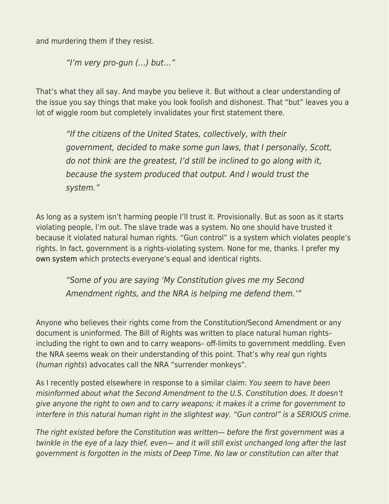and murdering them if they resist.

"I'm very pro-gun (…) but…"

That's what they all say. And maybe you believe it. But without a clear understanding of the issue you say things that make you look foolish and dishonest. That "but" leaves you a lot of wiggle room but completely invalidates your first statement there.

"If the citizens of the United States, collectively, with their government, decided to make some gun laws, that I personally, Scott, do not think are the greatest, I'd still be inclined to go along with it, because the system produced that output. And I would trust the system."

As long as a system isn't harming people I'll trust it. Provisionally. But as soon as it starts violating people, I'm out. The slave trade was a system. No one should have trusted it because it violated natural human rights. "Gun control" is a system which violates people's rights. In fact, government is a rights-violating system. None for me, thanks. I prefer [my](http://blog.kentforliberty.com/p/kentforliberty-zero-aggression.html) [own system](http://blog.kentforliberty.com/p/kentforliberty-zero-aggression.html) which protects everyone's equal and identical rights.

"Some of you are saying 'My Constitution gives me my Second Amendment rights, and the NRA is helping me defend them.'"

Anyone who believes their rights come from the Constitution/Second Amendment or any document is uninformed. The Bill of Rights was written to place natural human rights– including the right to own and to carry weapons– off-limits to government meddling. Even the NRA seems weak on their understanding of this point. That's why real gun rights (human rights) advocates call the NRA "surrender monkeys".

As I recently posted elsewhere in response to a similar claim: You seem to have been misinformed about what the Second Amendment to the U.S. Constitution does. It doesn't give anyone the right to own and to carry weapons; it makes it a crime for government to interfere in this natural human right in the slightest way. "Gun control" is a SERIOUS crime.

The right existed before the Constitution was written— before the first government was a twinkle in the eye of a lazy thief, even— and it will still exist unchanged long after the last government is forgotten in the mists of Deep Time. No law or constitution can alter that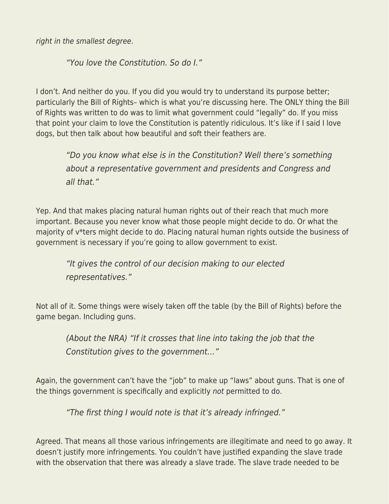right in the smallest degree.

"You love the Constitution. So do I."

I don't. And neither do you. If you did you would try to understand its purpose better; particularly the Bill of Rights– which is what you're discussing here. The ONLY thing the Bill of Rights was written to do was to limit what government could "legally" do. If you miss that point your claim to love the Constitution is patently ridiculous. It's like if I said I love dogs, but then talk about how beautiful and soft their feathers are.

"Do you know what else is in the Constitution? Well there's something about a representative government and presidents and Congress and all that."

Yep. And that makes placing natural human rights out of their reach that much more important. Because you never know what those people might decide to do. Or what the majority of v\*ters might decide to do. Placing natural human rights outside the business of government is necessary if you're going to allow government to exist.

"It gives the control of our decision making to our elected representatives."

Not all of it. Some things were wisely taken off the table (by the Bill of Rights) before the game began. Including guns.

(About the NRA) "If it crosses that line into taking the job that the Constitution gives to the government…"

Again, the government can't have the "job" to make up "laws" about guns. That is one of the things government is specifically and explicitly not permitted to do.

"The first thing I would note is that it's already infringed."

Agreed. That means all those various infringements are illegitimate and need to go away. It doesn't justify more infringements. You couldn't have justified expanding the slave trade with the observation that there was already a slave trade. The slave trade needed to be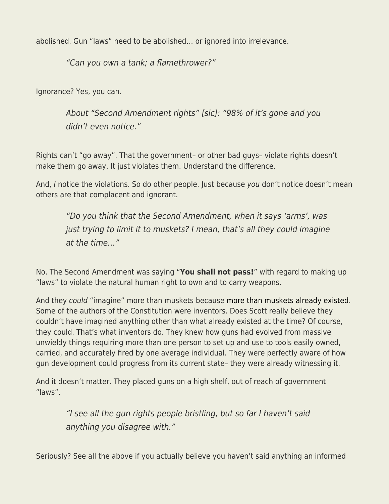abolished. Gun "laws" need to be abolished… or ignored into irrelevance.

"Can you own a tank; a flamethrower?"

Ignorance? Yes, you can.

About "Second Amendment rights" [sic]: "98% of it's gone and you didn't even notice."

Rights can't "go away". That the government– or other bad guys– violate rights doesn't make them go away. It just violates them. Understand the difference.

And, I notice the violations. So do other people. Just because you don't notice doesn't mean others are that complacent and ignorant.

"Do you think that the Second Amendment, when it says 'arms', was just trying to limit it to muskets? I mean, that's all they could imagine at the time…"

No. The Second Amendment was saying "**You shall not pass!**" with regard to making up "laws" to violate the natural human right to own and to carry weapons.

And they could "imagine" more than muskets because [more than muskets already existed.](https://en.wikipedia.org/wiki/Puckle_gun) Some of the authors of the Constitution were inventors. Does Scott really believe they couldn't have imagined anything other than what already existed at the time? Of course, they could. That's what inventors do. They knew how guns had evolved from massive unwieldy things requiring more than one person to set up and use to tools easily owned, carried, and accurately fired by one average individual. They were perfectly aware of how gun development could progress from its current state– they were already witnessing it.

And it doesn't matter. They placed guns on a high shelf, out of reach of government "laws".

> "I see all the gun rights people bristling, but so far I haven't said anything you disagree with."

Seriously? See all the above if you actually believe you haven't said anything an informed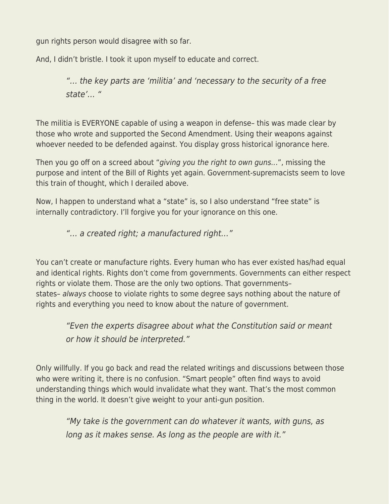gun rights person would disagree with so far.

And, I didn't bristle. I took it upon myself to educate and correct.

"… the key parts are 'militia' and 'necessary to the security of a free state'… "

The militia is EVERYONE capable of using a weapon in defense– this was made clear by those who wrote and supported the Second Amendment. Using their weapons against whoever needed to be defended against. You display gross historical ignorance here.

Then you go off on a screed about "giving you the right to own guns...", missing the purpose and intent of the Bill of Rights yet again. Government-supremacists seem to love this train of thought, which I derailed above.

Now, I happen to understand what a "state" is, so I also understand "free state" is internally contradictory. I'll forgive you for your ignorance on this one.

"… a created right; a manufactured right…"

You can't create or manufacture rights. Every human who has ever existed has/had equal and identical rights. Rights don't come from governments. Governments can either respect rights or violate them. Those are the only two options. That governments– states– always choose to violate rights to some degree says nothing about the nature of rights and everything you need to know about the nature of government.

"Even the experts disagree about what the Constitution said or meant or how it should be interpreted."

Only willfully. If you go back and read the related writings and discussions between those who were writing it, there is no confusion. "Smart people" often find ways to avoid understanding things which would invalidate what they want. That's the most common thing in the world. It doesn't give weight to your anti-gun position.

"My take is the government can do whatever it wants, with guns, as long as it makes sense. As long as the people are with it."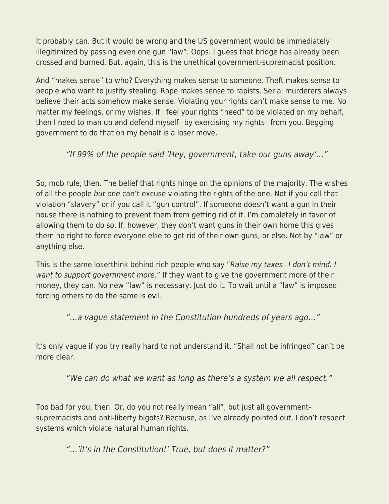It probably can. But it would be wrong and the US government would be immediately illegitimized by passing even one gun "law". Oops. I guess that bridge has already been crossed and burned. But, again, this is the unethical government-supremacist position.

And "makes sense" to who? Everything makes sense to someone. Theft makes sense to people who want to justify stealing. Rape makes sense to rapists. Serial murderers always believe their acts somehow make sense. Violating your rights can't make sense to me. No matter my feelings, or my wishes. If I feel your rights "need" to be violated on my behalf, then I need to man up and defend myself– by exercising my rights– from you. Begging government to do that on my behalf is a loser move.

"If 99% of the people said 'Hey, government, take our guns away'…"

So, mob rule, then. The belief that rights hinge on the opinions of the majority. The wishes of all the people but one can't excuse violating the rights of the one. Not if you call that violation "slavery" or if you call it "gun control". If someone doesn't want a gun in their house there is nothing to prevent them from getting rid of it. I'm completely in favor of allowing them to do so. If, however, they don't want guns in their own home this gives them no right to force everyone else to get rid of their own guns, or else. Not by "law" or anything else.

This is the same loserthink behind rich people who say "Raise my taxes- I don't mind. I want to support government more." If they want to give the government more of their money, they can. No new "law" is necessary. Just do it. To wait until a "law" is imposed forcing others to do the same is [evil.](http://kentmcmanigal.blogspot.com/2009/08/evil-definition.html)

"…a vague statement in the Constitution hundreds of years ago…"

It's only vague if you try really hard to not understand it. "Shall not be infringed" can't be more clear.

"We can do what we want as long as there's a system we all respect."

Too bad for you, then. Or, do you not really mean "all", but just all governmentsupremacists and anti-liberty bigots? Because, as I've already pointed out, I don't respect systems which violate natural human rights.

"…'it's in the Constitution!' True, but does it matter?"